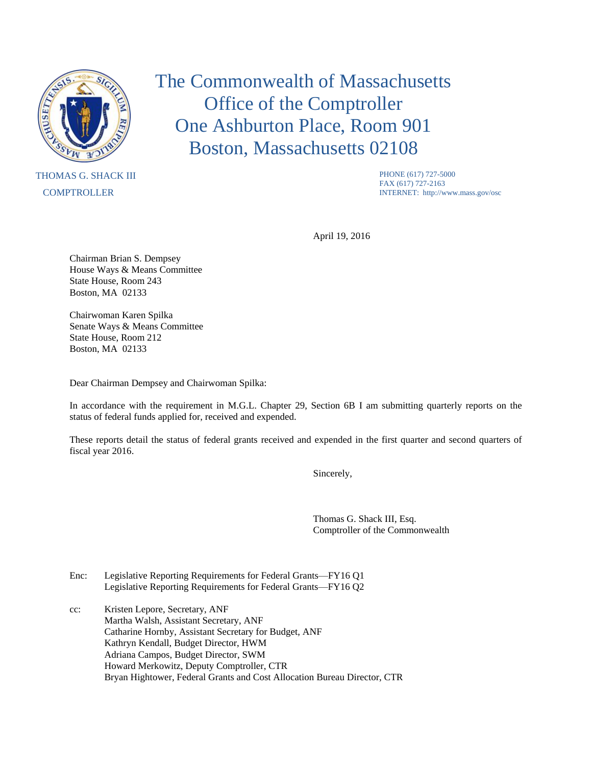

## THOMAS G. SHACK III **COMPTROLLER**

The Commonwealth of Massachusetts Office of the Comptroller One Ashburton Place, Room 901 Boston, Massachusetts 02108

> PHONE (617) 727-5000 FAX (617) 727-2163 INTERNET: http://www.mass.gov/osc

April 19, 2016

Chairman Brian S. Dempsey House Ways & Means Committee State House, Room 243 Boston, MA 02133

Chairwoman Karen Spilka Senate Ways & Means Committee State House, Room 212 Boston, MA 02133

Dear Chairman Dempsey and Chairwoman Spilka:

In accordance with the requirement in M.G.L. Chapter 29, Section 6B I am submitting quarterly reports on the status of federal funds applied for, received and expended.

These reports detail the status of federal grants received and expended in the first quarter and second quarters of fiscal year 2016.

Sincerely,

Thomas G. Shack III, Esq. Comptroller of the Commonwealth

- Enc: Legislative Reporting Requirements for Federal Grants—FY16 Q1 Legislative Reporting Requirements for Federal Grants—FY16 Q2
- cc: Kristen Lepore, Secretary, ANF Martha Walsh, Assistant Secretary, ANF Catharine Hornby, Assistant Secretary for Budget, ANF Kathryn Kendall, Budget Director, HWM Adriana Campos, Budget Director, SWM Howard Merkowitz, Deputy Comptroller, CTR Bryan Hightower, Federal Grants and Cost Allocation Bureau Director, CTR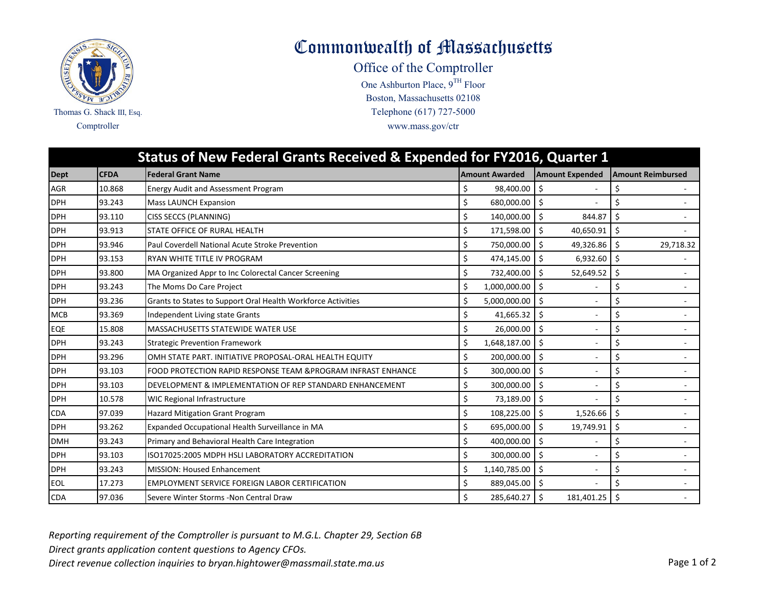

Commonwealth of Massachusetts

Office of the Comptroller

One Ashburton Place,  $9^{TH}$  Floor Comptroller www.mass.gov/ctr Telephone (617) 727-5000 Boston, Massachusetts 02108

|             | Status of New Federal Grants Received & Expended for FY2016, Quarter 1 |                                                               |    |                       |                        |                                   |  |  |  |
|-------------|------------------------------------------------------------------------|---------------------------------------------------------------|----|-----------------------|------------------------|-----------------------------------|--|--|--|
| <b>Dept</b> | <b>CFDA</b>                                                            | <b>Federal Grant Name</b>                                     |    | <b>Amount Awarded</b> | <b>Amount Expended</b> | <b>Amount Reimbursed</b>          |  |  |  |
| <b>AGR</b>  | 10.868                                                                 | <b>Energy Audit and Assessment Program</b>                    | \$ | 98,400.00             |                        | \$                                |  |  |  |
| <b>DPH</b>  | 93.243                                                                 | <b>Mass LAUNCH Expansion</b>                                  |    | 680,000.00            | Ś.                     |                                   |  |  |  |
| <b>DPH</b>  | 93.110                                                                 | CISS SECCS (PLANNING)                                         | \$ | 140,000.00 \$         | 844.87                 | \$                                |  |  |  |
| <b>DPH</b>  | 93.913                                                                 | STATE OFFICE OF RURAL HEALTH                                  | \$ | 171,598.00            | \$<br>40,650.91        | $\zeta$                           |  |  |  |
| <b>DPH</b>  | 93.946                                                                 | Paul Coverdell National Acute Stroke Prevention               | \$ | 750,000.00 \$         | 49,326.86              | $\boldsymbol{\zeta}$<br>29,718.32 |  |  |  |
| <b>DPH</b>  | 93.153                                                                 | RYAN WHITE TITLE IV PROGRAM                                   | \$ | 474,145.00 \$         | 6,932.60               | Ŝ.                                |  |  |  |
| <b>DPH</b>  | 93.800                                                                 | MA Organized Appr to Inc Colorectal Cancer Screening          | \$ | 732,400.00            | Ŝ.<br>52,649.52        | \$                                |  |  |  |
| <b>DPH</b>  | 93.243                                                                 | The Moms Do Care Project                                      | \$ | 1,000,000.00          | Ś                      | \$                                |  |  |  |
| <b>DPH</b>  | 93.236                                                                 | Grants to States to Support Oral Health Workforce Activities  | \$ | 5,000,000.00          | Ś.                     | \$                                |  |  |  |
| <b>MCB</b>  | 93.369                                                                 | Independent Living state Grants                               | \$ | 41,665.32             | \$                     | \$                                |  |  |  |
| EQE         | 15.808                                                                 | MASSACHUSETTS STATEWIDE WATER USE                             | \$ | 26,000.00             | \$                     | \$                                |  |  |  |
| <b>DPH</b>  | 93.243                                                                 | <b>Strategic Prevention Framework</b>                         | \$ | 1,648,187.00          | \$<br>$\sim$           | \$                                |  |  |  |
| <b>DPH</b>  | 93.296                                                                 | OMH STATE PART. INITIATIVE PROPOSAL-ORAL HEALTH EQUITY        | \$ | 200,000.00            | Ŝ.<br>÷.               |                                   |  |  |  |
| <b>DPH</b>  | 93.103                                                                 | FOOD PROTECTION RAPID RESPONSE TEAM & PROGRAM INFRAST ENHANCE | \$ | 300,000.00            | Ŝ.                     |                                   |  |  |  |
| <b>DPH</b>  | 93.103                                                                 | DEVELOPMENT & IMPLEMENTATION OF REP STANDARD ENHANCEMENT      | \$ | 300,000.00 \$         |                        | Ś                                 |  |  |  |
| <b>DPH</b>  | 10.578                                                                 | WIC Regional Infrastructure                                   | \$ | 73,189.00             | \$                     | \$                                |  |  |  |
| <b>CDA</b>  | 97.039                                                                 | <b>Hazard Mitigation Grant Program</b>                        | \$ | 108,225.00            | Ś<br>1,526.66          | \$                                |  |  |  |
| <b>DPH</b>  | 93.262                                                                 | Expanded Occupational Health Surveillance in MA               | \$ | 695,000.00            | Ś.<br>19,749.91        | \$                                |  |  |  |
| <b>DMH</b>  | 93.243                                                                 | Primary and Behavioral Health Care Integration                | \$ | 400,000.00            | \$                     | \$                                |  |  |  |
| <b>DPH</b>  | 93.103                                                                 | ISO17025:2005 MDPH HSLI LABORATORY ACCREDITATION              | \$ | 300,000.00            | \$                     | \$                                |  |  |  |
| <b>DPH</b>  | 93.243                                                                 | <b>MISSION: Housed Enhancement</b>                            | \$ | 1,140,785.00          | Ś.                     | \$                                |  |  |  |
| <b>EOL</b>  | 17.273                                                                 | <b>EMPLOYMENT SERVICE FOREIGN LABOR CERTIFICATION</b>         | \$ | 889,045.00 \$         |                        |                                   |  |  |  |
| <b>CDA</b>  | 97.036                                                                 | Severe Winter Storms - Non Central Draw                       | \$ | 285,640.27            | \$<br>181,401.25       | \$                                |  |  |  |

*Reporting requirement of the Comptroller is pursuant to M.G.L. Chapter 29, Section 6B*

*Direct grants application content questions to Agency CFOs.*

Direct revenue collection inquiries to bryan.hightower@massmail.state.ma.us **Page 1** of 2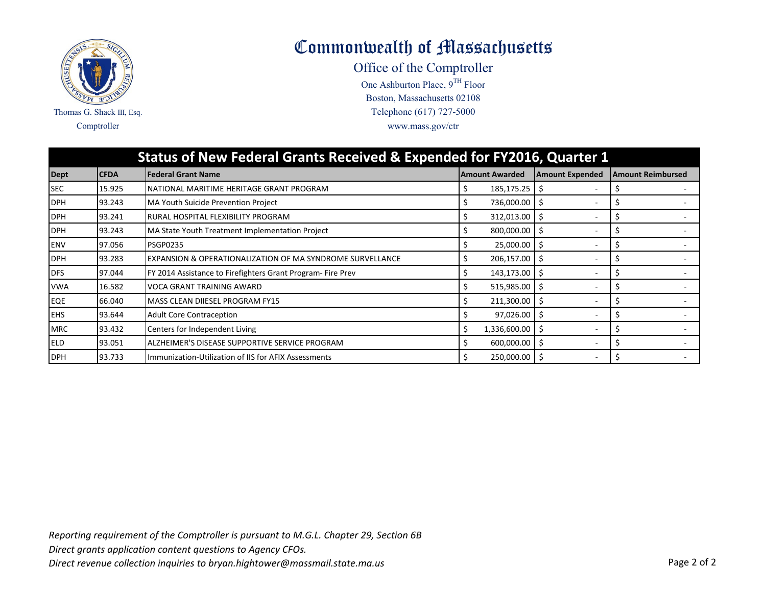

Commonwealth of Massachusetts

Office of the Comptroller

One Ashburton Place,  $9^{TH}$  Floor Comptroller www.mass.gov/ctr Telephone (617) 727-5000 Boston, Massachusetts 02108

| <b>Status of New Federal Grants Received &amp; Expended for FY2016, Quarter 1</b> |             |                                                            |                         |                        |                          |  |  |  |
|-----------------------------------------------------------------------------------|-------------|------------------------------------------------------------|-------------------------|------------------------|--------------------------|--|--|--|
| <b>Dept</b>                                                                       | <b>CFDA</b> | <b>Federal Grant Name</b>                                  | <b>Amount Awarded</b>   | <b>Amount Expended</b> | <b>Amount Reimbursed</b> |  |  |  |
| <b>SEC</b>                                                                        | 15.925      | NATIONAL MARITIME HERITAGE GRANT PROGRAM                   | $185, 175.25$ \$        |                        |                          |  |  |  |
| <b>DPH</b>                                                                        | 93.243      | MA Youth Suicide Prevention Project                        | 736,000.00 \$           |                        |                          |  |  |  |
| <b>DPH</b>                                                                        | 93.241      | RURAL HOSPITAL FLEXIBILITY PROGRAM                         | $312,013.00$   \$<br>Ś. |                        |                          |  |  |  |
| <b>DPH</b>                                                                        | 93.243      | MA State Youth Treatment Implementation Project            | 800,000.00 \$           |                        |                          |  |  |  |
| <b>ENV</b>                                                                        | 97.056      | <b>PSGP0235</b>                                            | 25,000.00 \$            |                        |                          |  |  |  |
| <b>DPH</b>                                                                        | 93.283      | EXPANSION & OPERATIONALIZATION OF MA SYNDROME SURVELLANCE  | 206,157.00 \$           |                        |                          |  |  |  |
| <b>DFS</b>                                                                        | 97.044      | FY 2014 Assistance to Firefighters Grant Program-Fire Prev | 143,173.00 \$           |                        |                          |  |  |  |
| <b>VWA</b>                                                                        | 16.582      | VOCA GRANT TRAINING AWARD                                  | 515,985.00 \$           |                        |                          |  |  |  |
| EQE                                                                               | 66.040      | MASS CLEAN DIIESEL PROGRAM FY15                            | $211,300.00$ \$         |                        |                          |  |  |  |
| <b>EHS</b>                                                                        | 93.644      | <b>Adult Core Contraception</b>                            | $97,026.00$ \$<br>S.    | $\sim$                 | S                        |  |  |  |
| <b>MRC</b>                                                                        | 93.432      | Centers for Independent Living                             | 1,336,600.00 \$         |                        |                          |  |  |  |
| <b>ELD</b>                                                                        | 93.051      | ALZHEIMER'S DISEASE SUPPORTIVE SERVICE PROGRAM             | $600,000.00$ $\mid$ \$  |                        |                          |  |  |  |
| <b>DPH</b>                                                                        | 93.733      | Immunization-Utilization of IIS for AFIX Assessments       | 250,000.00 \$           |                        |                          |  |  |  |

*Reporting requirement of the Comptroller is pursuant to M.G.L. Chapter 29, Section 6B Direct grants application content questions to Agency CFOs.* Direct revenue collection inquiries to bryan.hightower@massmail.state.ma.us **Page 2 of 2** Page 2 of 2